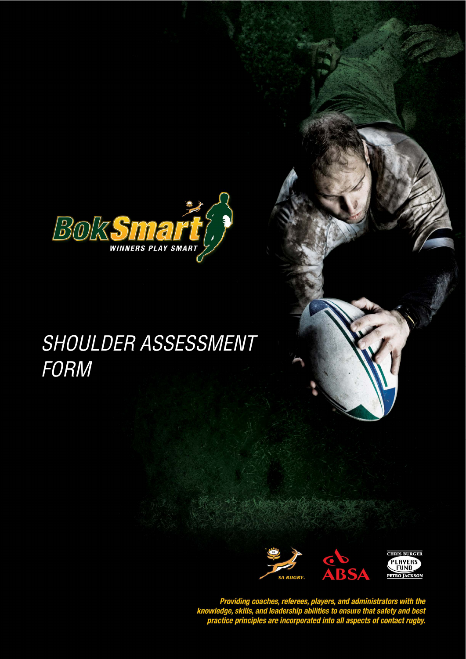

## SHOULDER ASSESSMENT FORM



Providing coaches, referees, players, and administrators with the<br>knowledge, skills, and leadership abilities to ensure that safety and best<br>practice principles are incorporated into all aspects of contact rugby.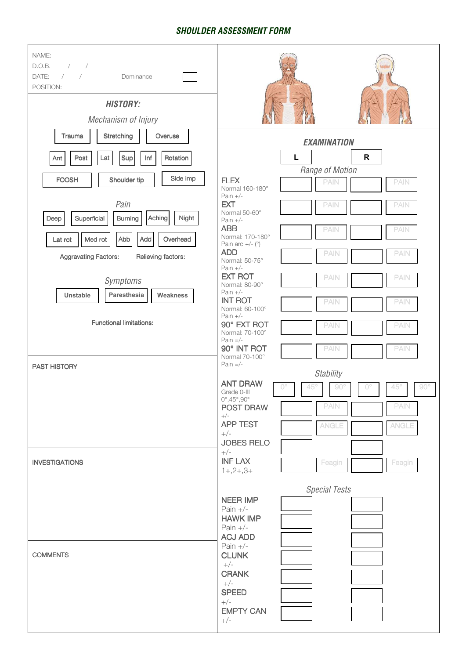## **SHOULDER ASSESSMENT FORM**

| NAME:<br>D.O.B.<br>$\frac{1}{2}$ $\frac{1}{2}$<br>DATE:<br>$\sqrt{2}$<br>$\overline{\phantom{a}}$<br>Dominance<br>POSITION:<br><b>HISTORY:</b><br>Mechanism of Injury |                                                                                                                        |
|-----------------------------------------------------------------------------------------------------------------------------------------------------------------------|------------------------------------------------------------------------------------------------------------------------|
| Stretching<br>Trauma<br>Overuse                                                                                                                                       | <b>EXAMINATION</b>                                                                                                     |
| Post<br>Sup<br>Lat<br>Inf<br>Rotation<br>Ant                                                                                                                          | L<br>$\mathsf{R}$                                                                                                      |
|                                                                                                                                                                       | Range of Motion                                                                                                        |
| Side imp<br><b>FOOSH</b><br>Shoulder tip                                                                                                                              | <b>FLEX</b><br><b>PAIN</b><br><b>PAIN</b><br>Normal 160-180°                                                           |
| Pain                                                                                                                                                                  | Pain $+/-$<br><b>EXT</b><br><b>PAIN</b><br><b>PAIN</b><br>Normal 50-60°                                                |
| Aching<br>Night<br>Superficial<br>Burning<br>Deep                                                                                                                     | Pain $+/-$<br><b>ABB</b>                                                                                               |
| Med rot<br>Abb<br>Add<br>Overhead<br>Lat rot                                                                                                                          | <b>PAIN</b><br><b>PAIN</b><br>Normal: 170-180°<br>Pain arc $+/-$ ( $\degree$ )                                         |
| <b>Aggravating Factors:</b><br>Relieving factors:                                                                                                                     | <b>ADD</b><br><b>PAIN</b><br>PAIN<br>Normal: 50-75°                                                                    |
| Symptoms                                                                                                                                                              | Pain $+/-$<br><b>EXT ROT</b><br><b>PAIN</b><br><b>PAIN</b>                                                             |
| Paresthesia<br><b>Unstable</b><br><b>Weakness</b>                                                                                                                     | Normal: 80-90°<br>Pain $+/-$                                                                                           |
|                                                                                                                                                                       | <b>INT ROT</b><br><b>PAIN</b><br><b>PAIN</b><br>Normal: 60-100°<br>Pain $+/-$                                          |
| <b>Functional limitations:</b>                                                                                                                                        | 90° EXT ROT<br><b>PAIN</b><br><b>PAIN</b><br>Normal: 70-100°                                                           |
|                                                                                                                                                                       | Pain $=$ /-<br>90° INT ROT<br><b>PAIN</b><br><b>PAIN</b>                                                               |
| <b>PAST HISTORY</b>                                                                                                                                                   | Normal 70-100°<br>Pain $=$ /-                                                                                          |
|                                                                                                                                                                       | Stability<br><b>ANT DRAW</b><br>$\mathbb{O}^\circ$<br>45°<br>$45^{\circ}$<br>$90^{\circ}$<br>$90^\circ$<br>$O^{\circ}$ |
|                                                                                                                                                                       | Grade 0-III<br>$0^\circ, 45^\circ, 90^\circ$<br><b>PAIN</b><br><b>PAIN</b>                                             |
|                                                                                                                                                                       | <b>POST DRAW</b><br>$+/-$                                                                                              |
|                                                                                                                                                                       | <b>APP TEST</b><br><b>ANGLE</b><br><b>ANGLE</b><br>$+/-$                                                               |
|                                                                                                                                                                       | <b>JOBES RELO</b><br>$+/-$                                                                                             |
| <b>INVESTIGATIONS</b>                                                                                                                                                 | <b>INF LAX</b><br>Feagin<br>Feagin<br>$1+,2+,3+$                                                                       |
|                                                                                                                                                                       | <b>Special Tests</b>                                                                                                   |
|                                                                                                                                                                       | <b>NEER IMP</b><br>Pain $+/-$                                                                                          |
|                                                                                                                                                                       | <b>HAWK IMP</b>                                                                                                        |
|                                                                                                                                                                       | Pain $+/-$<br><b>ACJ ADD</b>                                                                                           |
| <b>COMMENTS</b>                                                                                                                                                       | Pain $+/-$<br><b>CLUNK</b>                                                                                             |
|                                                                                                                                                                       | $+/-$<br><b>CRANK</b>                                                                                                  |
|                                                                                                                                                                       | $+/-$<br><b>SPEED</b>                                                                                                  |
|                                                                                                                                                                       | $+/-$                                                                                                                  |
|                                                                                                                                                                       | <b>EMPTY CAN</b><br>$+/-$                                                                                              |